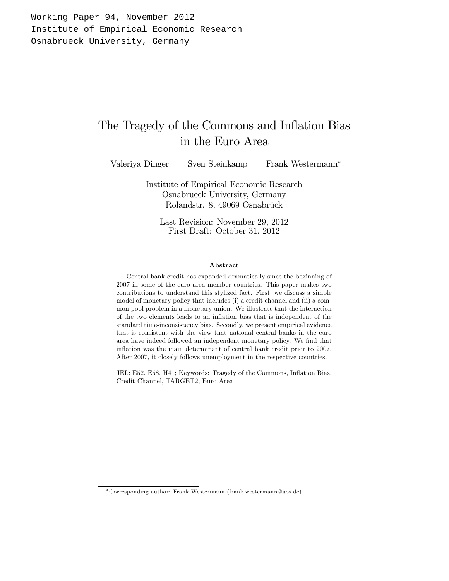Working Paper 94, November 2012 Institute of Empirical Economic Research Osnabrueck University, Germany

# The Tragedy of the Commons and Inflation Bias in the Euro Area

Valeriya Dinger Sven Steinkamp Frank Westermann<sup>\*</sup>

Institute of Empirical Economic Research Osnabrueck University, Germany Rolandstr. 8, 49069 Osnabrück

Last Revision: November 29, 2012 First Draft: October 31, 2012

#### Abstract

Central bank credit has expanded dramatically since the beginning of 2007 in some of the euro area member countries. This paper makes two contributions to understand this stylized fact. First, we discuss a simple model of monetary policy that includes (i) a credit channel and (ii) a common pool problem in a monetary union. We illustrate that the interaction of the two elements leads to an inflation bias that is independent of the standard time-inconsistency bias. Secondly, we present empirical evidence that is consistent with the view that national central banks in the euro area have indeed followed an independent monetary policy. We find that inflation was the main determinant of central bank credit prior to 2007. After 2007, it closely follows unemployment in the respective countries.

JEL: E52, E58, H41; Keywords: Tragedy of the Commons, Inflation Bias, Credit Channel, TARGET2, Euro Area

Corresponding author: Frank Westermann (frank.westermann@uos.de)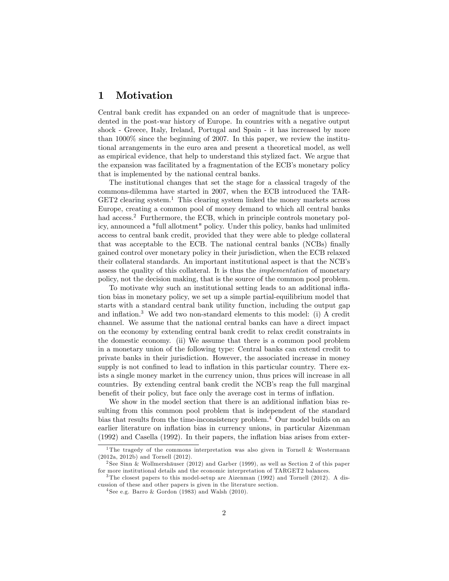# 1 Motivation

Central bank credit has expanded on an order of magnitude that is unprecedented in the post-war history of Europe. In countries with a negative output shock - Greece, Italy, Ireland, Portugal and Spain - it has increased by more than 1000% since the beginning of 2007. In this paper, we review the institutional arrangements in the euro area and present a theoretical model, as well as empirical evidence, that help to understand this stylized fact. We argue that the expansion was facilitated by a fragmentation of the ECB's monetary policy that is implemented by the national central banks.

The institutional changes that set the stage for a classical tragedy of the commons-dilemma have started in 2007, when the ECB introduced the TAR- $GET2$  clearing system.<sup>1</sup> This clearing system linked the money markets across Europe, creating a common pool of money demand to which all central banks had access.<sup>2</sup> Furthermore, the ECB, which in principle controls monetary policy, announced a "full allotment" policy. Under this policy, banks had unlimited access to central bank credit, provided that they were able to pledge collateral that was acceptable to the ECB. The national central banks (NCBs) finally gained control over monetary policy in their jurisdiction, when the ECB relaxed their collateral standards. An important institutional aspect is that the NCB's assess the quality of this collateral. It is thus the implementation of monetary policy, not the decision making, that is the source of the common pool problem.

To motivate why such an institutional setting leads to an additional ináation bias in monetary policy, we set up a simple partial-equilibrium model that starts with a standard central bank utility function, including the output gap and inflation.<sup>3</sup> We add two non-standard elements to this model: (i) A credit channel. We assume that the national central banks can have a direct impact on the economy by extending central bank credit to relax credit constraints in the domestic economy. (ii) We assume that there is a common pool problem in a monetary union of the following type: Central banks can extend credit to private banks in their jurisdiction. However, the associated increase in money supply is not confined to lead to inflation in this particular country. There exists a single money market in the currency union, thus prices will increase in all countries. By extending central bank credit the NCB's reap the full marginal benefit of their policy, but face only the average cost in terms of inflation.

We show in the model section that there is an additional inflation bias resulting from this common pool problem that is independent of the standard bias that results from the time-inconsistency problem.<sup>4</sup> Our model builds on an earlier literature on inflation bias in currency unions, in particular Aizenman  $(1992)$  and Casella  $(1992)$ . In their papers, the inflation bias arises from exter-

<sup>&</sup>lt;sup>1</sup>The tragedy of the commons interpretation was also given in Tornell & Westermann (2012a, 2012b) and Tornell (2012).

<sup>&</sup>lt;sup>2</sup> See Sinn & Wollmershäuser (2012) and Garber (1999), as well as Section 2 of this paper for more institutional details and the economic interpretation of TARGET2 balances.

<sup>&</sup>lt;sup>3</sup>The closest papers to this model-setup are Aizenman (1992) and Tornell (2012). A discussion of these and other papers is given in the literature section.

 $4$  See e.g. Barro & Gordon (1983) and Walsh (2010).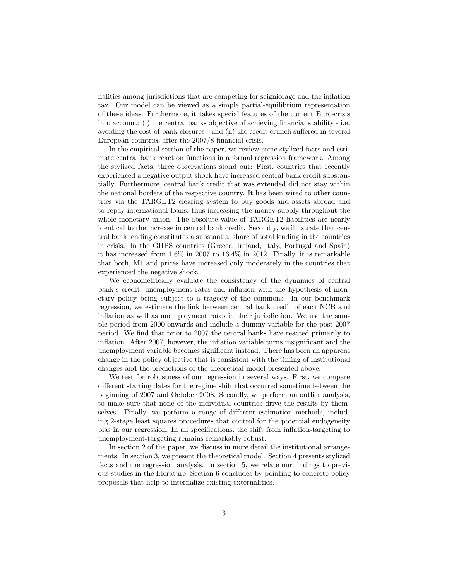nalities among jurisdictions that are competing for seigniorage and the inflation tax. Our model can be viewed as a simple partial-equilibrium representation of these ideas. Furthermore, it takes special features of the current Euro-crisis into account: (i) the central banks objective of achieving financial stability  $-$  i.e. avoiding the cost of bank closures - and (ii) the credit crunch suffered in several European countries after the 2007/8 financial crisis.

In the empirical section of the paper, we review some stylized facts and estimate central bank reaction functions in a formal regression framework. Among the stylized facts, three observations stand out: First, countries that recently experienced a negative output shock have increased central bank credit substantially. Furthermore, central bank credit that was extended did not stay within the national borders of the respective country. It has been wired to other countries via the TARGET2 clearing system to buy goods and assets abroad and to repay international loans, thus increasing the money supply throughout the whole monetary union. The absolute value of TARGET2 liabilities are nearly identical to the increase in central bank credit. Secondly, we illustrate that central bank lending constitutes a substantial share of total lending in the countries in crisis. In the GIIPS countries (Greece, Ireland, Italy, Portugal and Spain) it has increased from 1.6% in 2007 to 16.4% in 2012. Finally, it is remarkable that both, M1 and prices have increased only moderately in the countries that experienced the negative shock.

We econometrically evaluate the consistency of the dynamics of central bank's credit, unemployment rates and inflation with the hypothesis of monetary policy being subject to a tragedy of the commons. In our benchmark regression, we estimate the link between central bank credit of each NCB and inflation as well as unemployment rates in their jurisdiction. We use the sample period from 2000 onwards and include a dummy variable for the post-2007 period. We Önd that prior to 2007 the central banks have reacted primarily to inflation. After 2007, however, the inflation variable turns insignificant and the unemployment variable becomes significant instead. There has been an apparent change in the policy objective that is consistent with the timing of institutional changes and the predictions of the theoretical model presented above.

We test for robustness of our regression in several ways. First, we compare different starting dates for the regime shift that occurred sometime between the beginning of 2007 and October 2008. Secondly, we perform an outlier analysis, to make sure that none of the individual countries drive the results by themselves. Finally, we perform a range of different estimation methods, including 2-stage least squares procedures that control for the potential endogeneity bias in our regression. In all specifications, the shift from inflation-targeting to unemployment-targeting remains remarkably robust.

In section 2 of the paper, we discuss in more detail the institutional arrangements. In section 3, we present the theoretical model. Section 4 presents stylized facts and the regression analysis. In section 5, we relate our findings to previous studies in the literature. Section 6 concludes by pointing to concrete policy proposals that help to internalize existing externalities.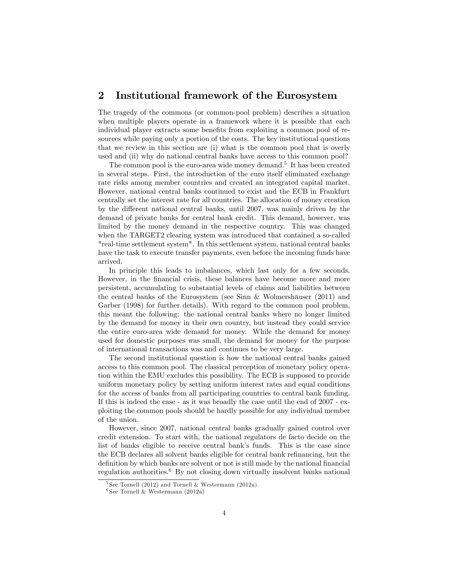### 2 Institutional framework of the Eurosystem

The tragedy of the commons (or common-pool problem) describes a situation when multiple players operate in a framework where it is possible that each individual player extracts some benefits from exploiting a common pool of resources while paying only a portion of the costs. The key institutional questions that we review in this section are (i) what is the common pool that is overly used and (ii) why do national central banks have access to this common pool?

The common pool is the euro-area wide money demand.<sup>5</sup> It has been created in several steps. First, the introduction of the euro itself eliminated exchange rate risks among member countries and created an integrated capital market. However, national central banks continued to exist and the ECB in Frankfurt centrally set the interest rate for all countries. The allocation of money creation by the different national central banks, until 2007, was mainly driven by the demand of private banks for central bank credit. This demand, however, was limited by the money demand in the respective country. This was changed when the TARGET2 clearing system was introduced that contained a so-called "real-time settlement system". In this settlement system, national central banks have the task to execute transfer payments, even before the incoming funds have arrived.

In principle this leads to imbalances, which last only for a few seconds. However, in the Önancial crisis, these balances have become more and more persistent, accumulating to substantial levels of claims and liabilities between the central banks of the Eurosystem (see Sinn  $\&$  Wolmershäuser (2011) and Garber (1998) for further details). With regard to the common pool problem, this meant the following: the national central banks where no longer limited by the demand for money in their own country, but instead they could service the entire euro-area wide demand for money. While the demand for money used for domestic purposes was small, the demand for money for the purpose of international transactions was and continues to be very large.

The second institutional question is how the national central banks gained access to this common pool. The classical perception of monetary policy operation within the EMU excludes this possibility. The ECB is supposed to provide uniform monetary policy by setting uniform interest rates and equal conditions for the access of banks from all participating countries to central bank funding. If this is indeed the case - as it was broadly the case until the end of 2007 - exploiting the common pools should be hardly possible for any individual member of the union.

However, since 2007, national central banks gradually gained control over credit extension. To start with, the national regulators de facto decide on the list of banks eligible to receive central bank's funds. This is the case since the ECB declares all solvent banks eligible for central bank refinancing, but the definition by which banks are solvent or not is still made by the national financial regulation authorities.<sup>6</sup> By not closing down virtually insolvent banks national

<sup>&</sup>lt;sup>5</sup> See Tornell (2012) and Tornell & Westermann (2012a).

<sup>6</sup> See Tornell & Westermann (2012a)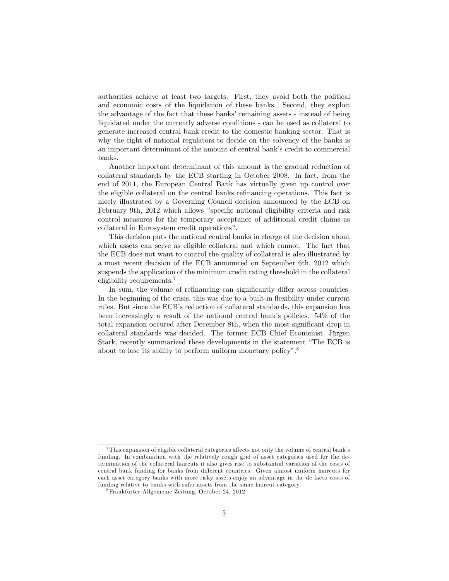authorities achieve at least two targets. First, they avoid both the political and economic costs of the liquidation of these banks. Second, they exploit the advantage of the fact that these banks' remaining assets - instead of being liquidated under the currently adverse conditions - can be used as collateral to generate increased central bank credit to the domestic banking sector. That is why the right of national regulators to decide on the solvency of the banks is an important determinant of the amount of central bank's credit to commercial banks.

Another important determinant of this amount is the gradual reduction of collateral standards by the ECB starting in October 2008. In fact, from the end of 2011, the European Central Bank has virtually given up control over the eligible collateral on the central banks refinancing operations. This fact is nicely illustrated by a Governing Council decision announced by the ECB on February 9th, 2012 which allows "specific national eligibility criteria and risk control measures for the temporary acceptance of additional credit claims as collateral in Eurosystem credit operations".

This decision puts the national central banks in charge of the decision about which assets can serve as eligible collateral and which cannot. The fact that the ECB does not want to control the quality of collateral is also illustrated by a most recent decision of the ECB announced on September 6th, 2012 which suspends the application of the minimum credit rating threshold in the collateral eligibility requirements.<sup>7</sup>

In sum, the volume of refinancing can significantly differ across countries. In the beginning of the crisis, this was due to a built-in flexibility under current rules. But since the ECB's reduction of collateral standards, this expansion has been increasingly a result of the national central bank's policies.  $54\%$  of the total expansion occured after December 8th, when the most significant drop in collateral standards was decided. The former ECB Chief Economist, Jürgen Stark, recently summarized these developments in the statement "The ECB is about to lose its ability to perform uniform monetary policy". $8$ 

<sup>&</sup>lt;sup>7</sup> This expansion of eligible collateral categories affects not only the volume of central bank's funding. In combination with the relatively rough grid of asset categories used for the determination of the collateral haircuts it also gives rise to substantial variation of the costs of central bank funding for banks from different countries. Given almost uniform haircuts for each asset category banks with more risky assets enjoy an advantage in the de facto costs of funding relative to banks with safer assets from the same haircut category.

<sup>8</sup>Frankfurter Allgemeine Zeitung, October 24, 2012.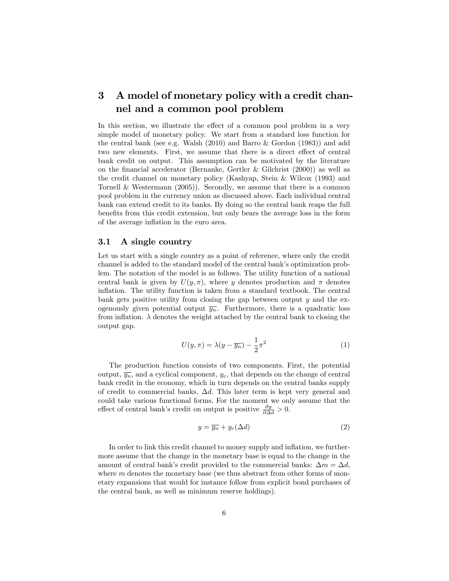# 3 A model of monetary policy with a credit channel and a common pool problem

In this section, we illustrate the effect of a common pool problem in a very simple model of monetary policy. We start from a standard loss function for the central bank (see e.g. Walsh  $(2010)$  and Barro & Gordon  $(1983)$ ) and add two new elements. First, we assume that there is a direct effect of central bank credit on output. This assumption can be motivated by the literature on the financial accelerator (Bernanke, Gertler & Gilchrist  $(2000)$ ) as well as the credit channel on monetary policy (Kashyap, Stein & Wilcox (1993) and Tornell & Westermann (2005)). Secondly, we assume that there is a common pool problem in the currency union as discussed above. Each individual central bank can extend credit to its banks. By doing so the central bank reaps the full benefits from this credit extension, but only bears the average loss in the form of the average inflation in the euro area.

#### 3.1 A single country

Let us start with a single country as a point of reference, where only the credit channel is added to the standard model of the central bankís optimization problem. The notation of the model is as follows. The utility function of a national central bank is given by  $U(y, \pi)$ , where y denotes production and  $\pi$  denotes inflation. The utility function is taken from a standard textbook. The central bank gets positive utility from closing the gap between output  $y$  and the exogenously given potential output  $\overline{y_n}$ . Furthermore, there is a quadratic loss from inflation.  $\lambda$  denotes the weight attached by the central bank to closing the output gap.

$$
U(y,\pi) = \lambda(y - \overline{y_n}) - \frac{1}{2}\pi^2
$$
\n(1)

The production function consists of two components. First, the potential output,  $\overline{y_n}$ , and a cyclical component,  $y_c$ , that depends on the change of central bank credit in the economy, which in turn depends on the central banks supply of credit to commercial banks,  $\Delta d$ . This later term is kept very general and could take various functional forms. For the moment we only assume that the effect of central bank's credit on output is positive  $\frac{\partial y}{\partial \Delta d} > 0$ .

$$
y = \overline{y_n} + y_c(\Delta d) \tag{2}
$$

In order to link this credit channel to money supply and inflation, we furthermore assume that the change in the monetary base is equal to the change in the amount of central bank's credit provided to the commercial banks:  $\Delta m = \Delta d$ , where  $m$  denotes the monetary base (we thus abstract from other forms of monetary expansions that would for instance follow from explicit bond purchases of the central bank, as well as minimum reserve holdings).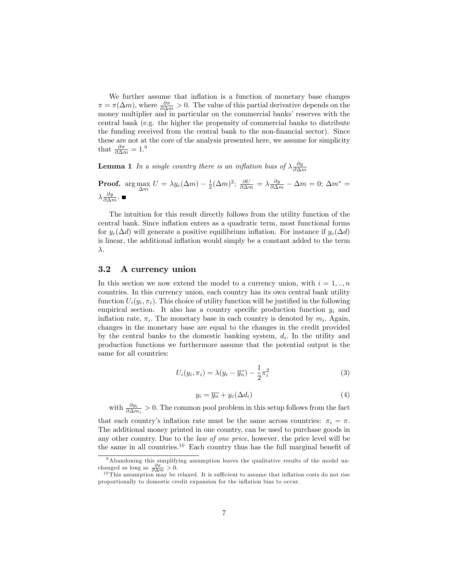We further assume that inflation is a function of monetary base changes  $\pi = \pi(\Delta m)$ , where  $\frac{\partial \pi}{\partial \Delta m} > 0$ . The value of this partial derivative depends on the money multiplier and in particular on the commercial banks' reserves with the central bank (e.g. the higher the propensity of commercial banks to distribute the funding received from the central bank to the non-Önancial sector). Since these are not at the core of the analysis presented here, we assume for simplicity that  $\frac{\partial \pi}{\partial \Delta m} = 1.9$ 

**Lemma 1** In a single country there is an inflation bias of  $\lambda \frac{\partial y}{\partial \Delta m}$ 

**Proof.** arg max  $U = \lambda y_c(\Delta m) - \frac{1}{2}(\Delta m)^2$ ;  $\frac{\partial U}{\partial \Delta m} = \lambda \frac{\partial y}{\partial \Delta m} - \Delta m = 0$ ;  $\Delta m^* =$  $\lambda \frac{\partial y}{\partial \Delta m}$ .

The intuition for this result directly follows from the utility function of the central bank. Since ináation enters as a quadratic term, most functional forms for  $y_c(\Delta d)$  will generate a positive equilibrium inflation. For instance if  $y_c(\Delta d)$ is linear, the additional inflation would simply be a constant added to the term  $\lambda$ .

#### 3.2 A currency union

In this section we now extend the model to a currency union, with  $i = 1, ..., n$ countries. In this currency union, each country has its own central bank utility function  $U_i(y_i, \pi_i)$ . This choice of utility function will be justified in the following empirical section. It also has a country specific production function  $y_i$  and inflation rate,  $\pi_i$ . The monetary base in each country is denoted by  $m_i$ . Again, changes in the monetary base are equal to the changes in the credit provided by the central banks to the domestic banking system,  $d_i$ . In the utility and production functions we furthermore assume that the potential output is the same for all countries:

$$
U_i(y_i, \pi_i) = \lambda(y_i - \overline{y_n}) - \frac{1}{2}\pi_i^2
$$
\n(3)

$$
y_i = \overline{y_n} + y_c(\Delta d_i) \tag{4}
$$

with  $\frac{\partial y_i}{\partial \Delta m_i} > 0$ . The common pool problem in this setup follows from the fact

that each country's inflation rate must be the same across countries:  $\pi_i = \pi$ . The additional money printed in one country, can be used to purchase goods in any other country. Due to the law of one price, however, the price level will be the same in all countries.<sup>10</sup> Each country thus has the full marginal benefit of

<sup>&</sup>lt;sup>9</sup>Abandoning this simplifying assumption leaves the qualitative results of the model unchanged as long as  $\frac{\partial \pi}{\partial \Delta m} > 0$ .

<sup>&</sup>lt;sup>10</sup> This assumption may be relaxed. It is sufficient to assume that inflation costs do not rise proportionally to domestic credit expansion for the ináation bias to occur.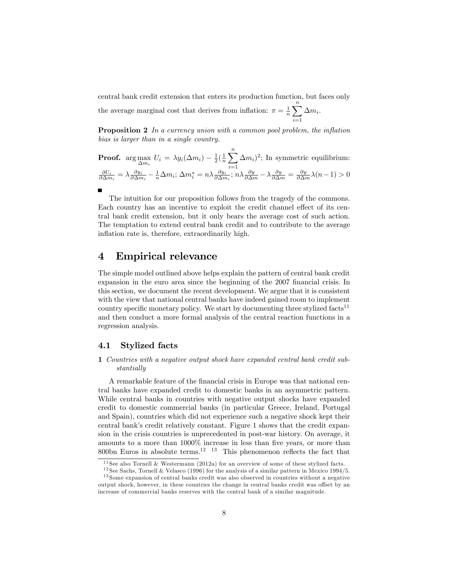central bank credit extension that enters its production function, but faces only the average marginal cost that derives from inflation:  $\pi = \frac{1}{n} \sum_{n=1}^{\infty}$  $i=1$  $\Delta m_i$ .

**Proposition 2** In a currency union with a common pool problem, the inflation bias is larger than in a single country.

**Proof.** arg max<sub>$$
\Delta m_i
$$</sub>  $U_i = \lambda y_i (\Delta m_i) - \frac{1}{2} (\frac{1}{n} \sum_{i=1}^n \Delta m_i)^2$ ; In symmetric equilibrium:  
\n
$$
\frac{\partial U_i}{\partial \Delta m_i} = \lambda \frac{\partial y_i}{\partial \Delta m_i} - \frac{1}{n} \Delta m_i
$$
;  $\Delta m_i^* = n \lambda \frac{\partial y_i}{\partial \Delta m_i}$ ;  $n \lambda \frac{\partial y}{\partial \Delta m} - \lambda \frac{\partial y}{\partial \Delta m} = \frac{\partial y}{\partial \Delta m} \lambda (n-1) > 0$ 

The intuition for our proposition follows from the tragedy of the commons. Each country has an incentive to exploit the credit channel effect of its central bank credit extension, but it only bears the average cost of such action. The temptation to extend central bank credit and to contribute to the average inflation rate is, therefore, extraordinarily high.

### 4 Empirical relevance

The simple model outlined above helps explain the pattern of central bank credit expansion in the euro area since the beginning of the 2007 financial crisis. In this section, we document the recent development. We argue that it is consistent with the view that national central banks have indeed gained room to implement country specific monetary policy. We start by documenting three stylized facts<sup>11</sup> and then conduct a more formal analysis of the central reaction functions in a regression analysis.

#### 4.1 Stylized facts

#### 1 Countries with a negative output shock have expanded central bank credit substantially

A remarkable feature of the Önancial crisis in Europe was that national central banks have expanded credit to domestic banks in an asymmetric pattern. While central banks in countries with negative output shocks have expanded credit to domestic commercial banks (in particular Greece, Ireland, Portugal and Spain), countries which did not experience such a negative shock kept their central bank's credit relatively constant. Figure 1 shows that the credit expansion in the crisis countries is unprecedented in post-war history. On average, it amounts to a more than  $1000\%$  increase in less than five years, or more than 800bn Euros in absolute terms.<sup>12</sup> <sup>13</sup> This phenomenon reflects the fact that

 $11$  See also Tornell & Westermann (2012a) for an overview of some of these stylized facts.

<sup>&</sup>lt;sup>12</sup> See Sachs, Tornell & Velasco (1996) for the analysis of a similar pattern in Mexico 1994/5.

<sup>&</sup>lt;sup>13</sup> Some expansion of central banks credit was also observed in countries without a negative output shock, however, in these countries the change in central banks credit was offset by an increase of commercial banks reserves with the central bank of a similar magnitude.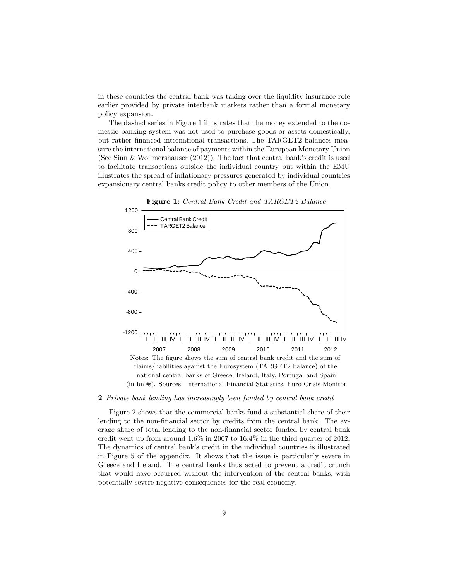in these countries the central bank was taking over the liquidity insurance role earlier provided by private interbank markets rather than a formal monetary policy expansion.

The dashed series in Figure 1 illustrates that the money extended to the domestic banking system was not used to purchase goods or assets domestically, but rather financed international transactions. The TARGET2 balances measure the international balance of payments within the European Monetary Union (See Sinn & Wollmershäuser  $(2012)$ ). The fact that central bank's credit is used to facilitate transactions outside the individual country but within the EMU illustrates the spread of ináationary pressures generated by individual countries expansionary central banks credit policy to other members of the Union.



#### 2 Private bank lending has increasingly been funded by central bank credit

Figure 2 shows that the commercial banks fund a substantial share of their lending to the non-financial sector by credits from the central bank. The average share of total lending to the non-Önancial sector funded by central bank credit went up from around 1.6% in 2007 to 16.4% in the third quarter of 2012. The dynamics of central bank's credit in the individual countries is illustrated in Figure 5 of the appendix. It shows that the issue is particularly severe in Greece and Ireland. The central banks thus acted to prevent a credit crunch that would have occurred without the intervention of the central banks, with potentially severe negative consequences for the real economy.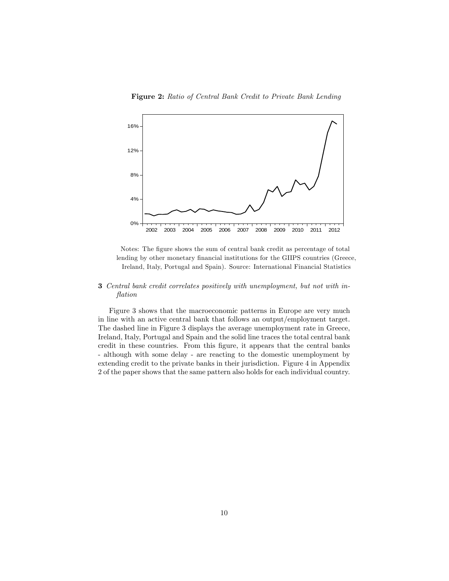Figure 2: Ratio of Central Bank Credit to Private Bank Lending



Notes: The figure shows the sum of central bank credit as percentage of total lending by other monetary financial institutions for the GIIPS countries (Greece, Ireland, Italy, Portugal and Spain). Source: International Financial Statistics

#### 3 Central bank credit correlates positively with unemployment, but not with inflation

Figure 3 shows that the macroeconomic patterns in Europe are very much in line with an active central bank that follows an output/employment target. The dashed line in Figure 3 displays the average unemployment rate in Greece, Ireland, Italy, Portugal and Spain and the solid line traces the total central bank credit in these countries. From this Ögure, it appears that the central banks - although with some delay - are reacting to the domestic unemployment by extending credit to the private banks in their jurisdiction. Figure 4 in Appendix 2 of the paper shows that the same pattern also holds for each individual country.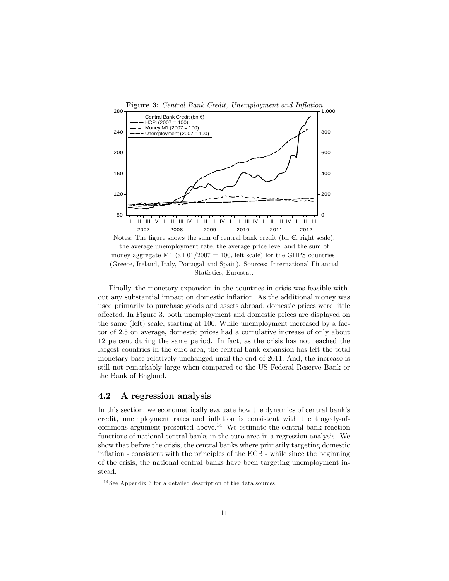

Finally, the monetary expansion in the countries in crisis was feasible without any substantial impact on domestic inflation. As the additional money was used primarily to purchase goods and assets abroad, domestic prices were little affected. In Figure 3, both unemployment and domestic prices are displayed on the same (left) scale, starting at 100. While unemployment increased by a factor of 2.5 on average, domestic prices had a cumulative increase of only about 12 percent during the same period. In fact, as the crisis has not reached the largest countries in the euro area, the central bank expansion has left the total monetary base relatively unchanged until the end of 2011. And, the increase is still not remarkably large when compared to the US Federal Reserve Bank or the Bank of England.

#### 4.2 A regression analysis

In this section, we econometrically evaluate how the dynamics of central bank's credit, unemployment rates and ináation is consistent with the tragedy-ofcommons argument presented above.<sup>14</sup> We estimate the central bank reaction functions of national central banks in the euro area in a regression analysis. We show that before the crisis, the central banks where primarily targeting domestic inflation - consistent with the principles of the ECB - while since the beginning of the crisis, the national central banks have been targeting unemployment instead.

<sup>&</sup>lt;sup>14</sup> See Appendix 3 for a detailed description of the data sources.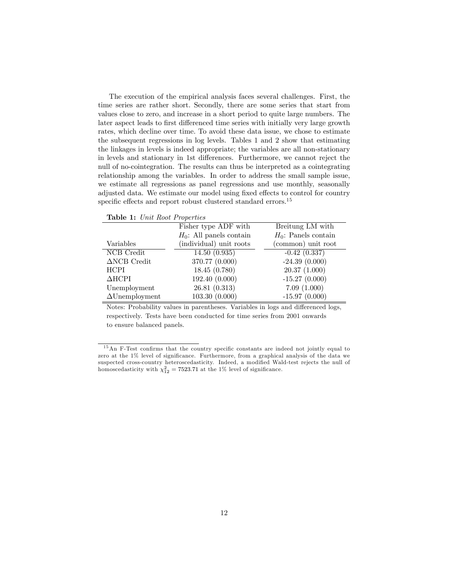The execution of the empirical analysis faces several challenges. First, the time series are rather short. Secondly, there are some series that start from values close to zero, and increase in a short period to quite large numbers. The later aspect leads to first differenced time series with initially very large growth rates, which decline over time. To avoid these data issue, we chose to estimate the subsequent regressions in log levels. Tables 1 and 2 show that estimating the linkages in levels is indeed appropriate; the variables are all non-stationary in levels and stationary in 1st differences. Furthermore, we cannot reject the null of no-cointegration. The results can thus be interpreted as a cointegrating relationship among the variables. In order to address the small sample issue, we estimate all regressions as panel regressions and use monthly, seasonally adjusted data. We estimate our model using fixed effects to control for country specific effects and report robust clustered standard errors.<sup>15</sup>

Table 1: Unit Root Properties

|                        | Fisher type ADF with       | Breitung LM with       |
|------------------------|----------------------------|------------------------|
|                        | $H_0$ : All panels contain | $H_0$ : Panels contain |
| Variables              | (individual) unit roots    | (common) unit root     |
| NCB Credit             | 14.50(0.935)               | $-0.42(0.337)$         |
| $\triangle NCB$ Credit | 370.77 (0.000)             | $-24.39(0.000)$        |
| <b>HCPI</b>            | 18.45(0.780)               | 20.37(1.000)           |
| $\triangle HCPI$       | 192.40 (0.000)             | $-15.27(0.000)$        |
| Unemployment           | 26.81(0.313)               | 7.09(1.000)            |
| $\Delta$ Unemployment  | 103.30(0.000)              | $-15.97(0.000)$        |
|                        |                            |                        |

Notes: Probability values in parentheses. Variables in logs and differenced logs, respectively. Tests have been conducted for time series from 2001 onwards to ensure balanced panels.

 $15$ An F-Test confirms that the country specific constants are indeed not jointly equal to zero at the 1% level of significance. Furthermore, from a graphical analysis of the data we suspected cross-country heteroscedasticity. Indeed, a modified Wald-test rejects the null of homoscedasticity with  $\chi_{12}^2 = 7523.71$  at the 1% level of significance.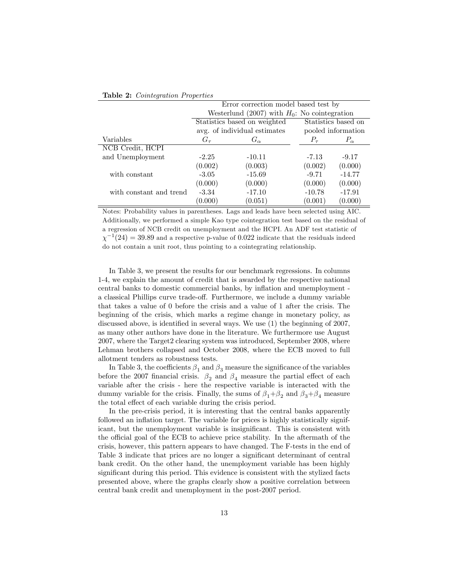|                         | Error correction model based test by            |                              |                     |              |  |
|-------------------------|-------------------------------------------------|------------------------------|---------------------|--------------|--|
|                         | Westerlund (2007) with $H_0$ : No cointegration |                              |                     |              |  |
|                         |                                                 | Statistics based on weighted | Statistics based on |              |  |
|                         |                                                 | avg. of individual estimates | pooled information  |              |  |
| Variables               | $G_{\tau}$                                      | $G_{\alpha}$                 | $P_{\tau}$          | $P_{\alpha}$ |  |
| NCB Credit, HCPI        |                                                 |                              |                     |              |  |
| and Unemployment        | $-2.25$                                         | $-10.11$                     | $-7.13$             | $-9.17$      |  |
|                         | (0.002)                                         | (0.003)                      | (0.002)             | (0.000)      |  |
| with constant           | $-3.05$                                         | $-15.69$                     | $-9.71$             | $-14.77$     |  |
|                         | (0.000)                                         | (0.000)                      | (0.000)             | (0.000)      |  |
| with constant and trend | $-3.34$                                         | $-17.10$                     | $-10.78$            | $-17.91$     |  |
|                         | (0.000)                                         | (0.051)                      | (0.001)             | (0.000)      |  |

Table 2: Cointegration Properties

Notes: Probability values in parentheses. Lags and leads have been selected using AIC. Additionally, we performed a simple Kao type cointegration test based on the residual of a regression of NCB credit on unemployment and the HCPI. An ADF test statistic of  $\chi^{-1}(24) = 39.89$  and a respective p-value of 0.022 indicate that the residuals indeed do not contain a unit root, thus pointing to a cointegrating relationship.

In Table 3, we present the results for our benchmark regressions. In columns 1-4, we explain the amount of credit that is awarded by the respective national central banks to domestic commercial banks, by inflation and unemployment a classical Phillips curve trade-off. Furthermore, we include a dummy variable that takes a value of 0 before the crisis and a value of 1 after the crisis. The beginning of the crisis, which marks a regime change in monetary policy, as discussed above, is identified in several ways. We use  $(1)$  the beginning of 2007, as many other authors have done in the literature. We furthermore use August 2007, where the Target2 clearing system was introduced, September 2008, where Lehman brothers collapsed and October 2008, where the ECB moved to full allotment tenders as robustness tests.

In Table 3, the coefficients  $\beta_1$  and  $\beta_3$  measure the significance of the variables before the 2007 financial crisis.  $\beta_2$  and  $\beta_4$  measure the partial effect of each variable after the crisis - here the respective variable is interacted with the dummy variable for the crisis. Finally, the sums of  $\beta_1 + \beta_2$  and  $\beta_3 + \beta_4$  measure the total effect of each variable during the crisis period.

In the pre-crisis period, it is interesting that the central banks apparently followed an inflation target. The variable for prices is highly statistically significant, but the unemployment variable is insignificant. This is consistent with the official goal of the ECB to achieve price stability. In the aftermath of the crisis, however, this pattern appears to have changed. The F-tests in the end of Table 3 indicate that prices are no longer a significant determinant of central bank credit. On the other hand, the unemployment variable has been highly significant during this period. This evidence is consistent with the stylized facts presented above, where the graphs clearly show a positive correlation between central bank credit and unemployment in the post-2007 period.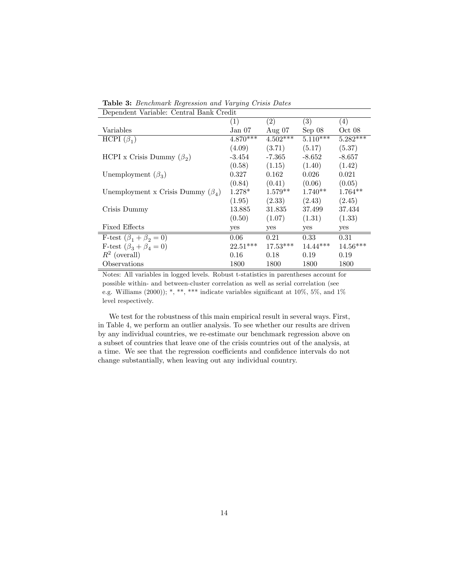Table 3: Benchmark Regression and Varying Crisis Dates Dependent Variable: Central Bank Credit

| реренцент танарк. Осным ранк стеци      |            |            |            |            |
|-----------------------------------------|------------|------------|------------|------------|
|                                         | (1)        | (2)        | (3)        | (4)        |
| Variables                               | Jan 07     | Aug $07$   | Sep 08     | Oct 08     |
| HCPI $(\beta_1)$                        | $4.870***$ | $4.502***$ | $5.110***$ | $5.282***$ |
|                                         | (4.09)     | (3.71)     | (5.17)     | (5.37)     |
| HCPI x Crisis Dummy $(\beta_2)$         | $-3.454$   | -7.365     | $-8.652$   | $-8.657$   |
|                                         | (0.58)     | (1.15)     | (1.40)     | (1.42)     |
| Unemployment $(\beta_3)$                | 0.327      | 0.162      | 0.026      | 0.021      |
|                                         | (0.84)     | (0.41)     | (0.06)     | (0.05)     |
| Unemployment x Crisis Dummy $(\beta_A)$ | $1.278*$   | $1.579**$  | $1.740**$  | $1.764**$  |
|                                         | (1.95)     | (2.33)     | (2.43)     | (2.45)     |
| Crisis Dummy                            | 13.885     | 31.835     | 37.499     | 37.434     |
|                                         | (0.50)     | (1.07)     | (1.31)     | (1.33)     |
| <b>Fixed Effects</b>                    | yes        | yes        | yes        | yes        |
| F-test $(\beta_1 + \beta_2 = 0)$        | 0.06       | 0.21       | 0.33       | 0.31       |
| F-test $(\beta_3 + \beta_4 = 0)$        | $22.51***$ | $17.53***$ | $14.44***$ | $14.56***$ |
| $R^2$ (overall)                         | 0.16       | 0.18       | 0.19       | 0.19       |
| Observations                            | 1800       | 1800       | 1800       | 1800       |

Notes: All variables in logged levels. Robust t-statistics in parentheses account for possible within- and between-cluster correlation as well as serial correlation (see e.g. Williams (2000)); \*, \*\*, \*\*\* indicate variables significant at  $10\%$ , 5%, and  $1\%$ level respectively.

We test for the robustness of this main empirical result in several ways. First, in Table 4, we perform an outlier analysis. To see whether our results are driven by any individual countries, we re-estimate our benchmark regression above on a subset of countries that leave one of the crisis countries out of the analysis, at a time. We see that the regression coefficients and confidence intervals do not change substantially, when leaving out any individual country.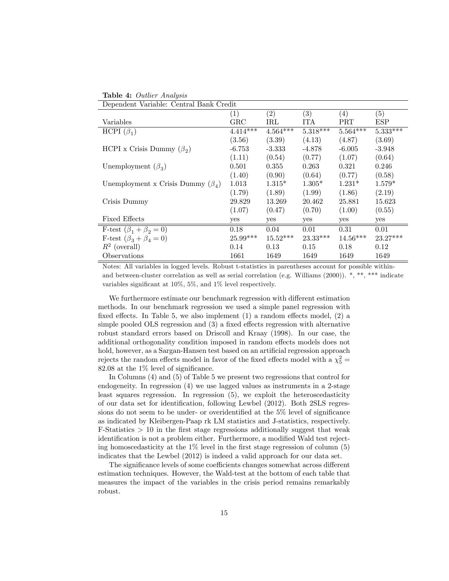| <b>Table 4:</b> Outlier Analysis |  |  |
|----------------------------------|--|--|
|                                  |  |  |

| Dependent Variable: Central Bank Credit |              |            |                   |            |            |
|-----------------------------------------|--------------|------------|-------------------|------------|------------|
|                                         | (1)          | (2)        | $\left( 3\right)$ | (4)        | (5)        |
| Variables                               | $_{\rm GRC}$ | $\rm IRL$  | <b>ITA</b>        | $\rm{PRT}$ | <b>ESP</b> |
| HCPI $(\beta_1)$                        | $4.414***$   | $4.564***$ | $5.318***$        | $5.564***$ | $5.333***$ |
|                                         | (3.56)       | (3.39)     | (4.13)            | (4.87)     | (3.69)     |
| HCPI x Crisis Dummy $(\beta_2)$         | $-6.753$     | $-3.333$   | $-4.878$          | $-6.005$   | $-3.948$   |
|                                         | (1.11)       | (0.54)     | (0.77)            | (1.07)     | (0.64)     |
| Unemployment $(\beta_3)$                | 0.501        | 0.355      | 0.263             | 0.321      | 0.246      |
|                                         | (1.40)       | (0.90)     | (0.64)            | (0.77)     | (0.58)     |
| Unemployment x Crisis Dummy $(\beta_4)$ | 1.013        | $1.315*$   | $1.305*$          | $1.231*$   | $1.579*$   |
|                                         | (1.79)       | (1.89)     | (1.99)            | (1.86)     | (2.19)     |
| Crisis Dummy                            | 29.829       | 13.269     | 20.462            | 25.881     | 15.623     |
|                                         | (1.07)       | (0.47)     | (0.70)            | (1.00)     | (0.55)     |
| <b>Fixed Effects</b>                    | yes          | yes        | yes               | yes        | yes        |
| F-test $(\beta_1 + \beta_2 = 0)$        | 0.18         | 0.04       | 0.01              | 0.31       | 0.01       |
| F-test $(\beta_3 + \beta_4 = 0)$        | $25.99***$   | $15.52***$ | $23.33***$        | $14.56***$ | $23.27***$ |
| $R^2$ (overall)                         | 0.14         | 0.13       | 0.15              | 0.18       | 0.12       |
| Observations                            | 1661         | 1649       | 1649              | 1649       | 1649       |

Notes: All variables in logged levels. Robust t-statistics in parentheses account for possible withinand between-cluster correlation as well as serial correlation (e.g. Williams  $(2000)$ ). \*, \*\*, \*\*\* indicate variables significant at  $10\%$ ,  $5\%$ , and  $1\%$  level respectively.

We furthermore estimate our benchmark regression with different estimation methods. In our benchmark regression we used a simple panel regression with fixed effects. In Table 5, we also implement  $(1)$  a random effects model,  $(2)$  a simple pooled OLS regression and  $(3)$  a fixed effects regression with alternative robust standard errors based on Driscoll and Kraay (1998). In our case, the additional orthogonality condition imposed in random effects models does not hold, however, as a Sargan-Hansen test based on an artificial regression approach rejects the random effects model in favor of the fixed effects model with a  $\chi^2_5$  = 82.08 at the  $1\%$  level of significance.

In Columns (4) and (5) of Table 5 we present two regressions that control for endogeneity. In regression (4) we use lagged values as instruments in a 2-stage least squares regression. In regression (5), we exploit the heteroscedasticity of our data set for identification, following Lewbel (2012). Both 2SLS regressions do not seem to be under- or overidentified at the  $5\%$  level of significance as indicated by Kleibergen-Paap rk LM statistics and J-statistics, respectively.  $F$ -Statistics  $> 10$  in the first stage regressions additionally suggest that weak identification is not a problem either. Furthermore, a modified Wald test rejecting homoscedasticity at the  $1\%$  level in the first stage regression of column (5) indicates that the Lewbel (2012) is indeed a valid approach for our data set.

The significance levels of some coefficients changes somewhat across different estimation techniques. However, the Wald-test at the bottom of each table that measures the impact of the variables in the crisis period remains remarkably robust.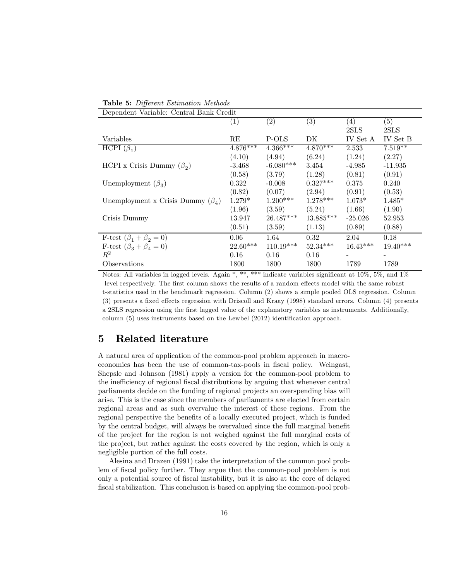| Dependent Variable: Central Bank Credit |            |             |             |            |            |
|-----------------------------------------|------------|-------------|-------------|------------|------------|
|                                         | (1)        | (2)         | (3)         | (4)        | (5)        |
|                                         |            |             |             | 2SLS       | 2SLS       |
| Variables                               | RE         | P-OLS       | DK          | IV Set A   | IV Set B   |
| HCPI $(\beta_1)$                        | $4.876***$ | $4.366***$  | $4.870***$  | 2.533      | $7.519**$  |
|                                         | (4.10)     | (4.94)      | (6.24)      | (1.24)     | (2.27)     |
| HCPI x Crisis Dummy $(\beta_2)$         | $-3.468$   | $-6.080***$ | 3.454       | -4.985     | $-11.935$  |
|                                         | (0.58)     | (3.79)      | (1.28)      | (0.81)     | (0.91)     |
| Unemployment $(\beta_3)$                | 0.322      | $-0.008$    | $0.327***$  | 0.375      | 0.240      |
|                                         | (0.82)     | (0.07)      | (2.94)      | (0.91)     | (0.53)     |
| Unemployment x Crisis Dummy $(\beta_4)$ | $1.279*$   | $1.200***$  | $1.278***$  | $1.073*$   | $1.485*$   |
|                                         | (1.96)     | (3.59)      | (5.24)      | (1.66)     | (1.90)     |
| Crisis Dummy                            | 13.947     | $26.487***$ | $13.885***$ | $-25.026$  | 52.953     |
|                                         | (0.51)     | (3.59)      | (1.13)      | (0.89)     | (0.88)     |
| F-test $(\beta_1 + \beta_2 = 0)$        | 0.06       | 1.64        | 0.32        | 2.04       | 0.18       |
| F-test $(\beta_3 + \beta_4 = 0)$        | $22.60***$ | $110.19***$ | $52.34***$  | $16.43***$ | $19.40***$ |
| $R^2$                                   | 0.16       | 0.16        | 0.16        |            |            |
| Observations                            | 1800       | 1800        | 1800        | 1789       | 1789       |

Notes: All variables in logged levels. Again \*, \*\*, \*\*\* indicate variables significant at  $10\%, 5\%,$  and  $1\%$ level respectively. The first column shows the results of a random effects model with the same robust t-statistics used in the benchmark regression. Column (2) shows a simple pooled OLS regression. Column (3) presents a fixed effects regression with Driscoll and Kraay (1998) standard errors. Column (4) presents a 2SLS regression using the Örst lagged value of the explanatory variables as instruments. Additionally, column  $(5)$  uses instruments based on the Lewbel  $(2012)$  identification approach.

## 5 Related literature

A natural area of application of the common-pool problem approach in macroeconomics has been the use of common-tax-pools in fiscal policy. Weingast, Shepsle and Johnson (1981) apply a version for the common-pool problem to the inefficiency of regional fiscal distributions by arguing that whenever central parliaments decide on the funding of regional projects an overspending bias will arise. This is the case since the members of parliaments are elected from certain regional areas and as such overvalue the interest of these regions. From the regional perspective the benefits of a locally executed project, which is funded by the central budget, will always be overvalued since the full marginal benefit of the project for the region is not weighed against the full marginal costs of the project, but rather against the costs covered by the region, which is only a negligible portion of the full costs.

Alesina and Drazen (1991) take the interpretation of the common pool problem of fiscal policy further. They argue that the common-pool problem is not only a potential source of Öscal instability, but it is also at the core of delayed fiscal stabilization. This conclusion is based on applying the common-pool prob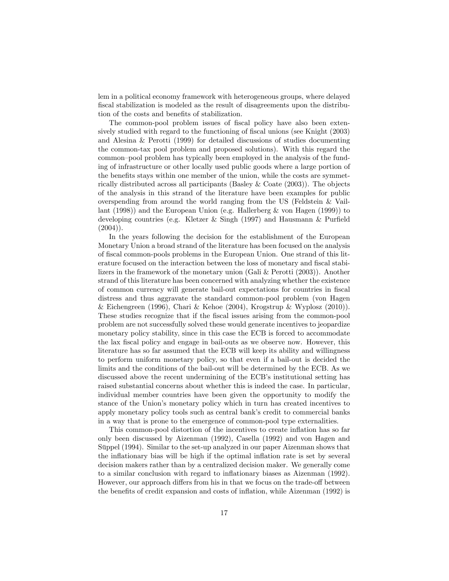lem in a political economy framework with heterogeneous groups, where delayed fiscal stabilization is modeled as the result of disagreements upon the distribution of the costs and benefits of stabilization.

The common-pool problem issues of fiscal policy have also been extensively studied with regard to the functioning of fiscal unions (see Knight (2003) and Alesina & Perotti (1999) for detailed discussions of studies documenting the common-tax pool problem and proposed solutions). With this regard the common-pool problem has typically been employed in the analysis of the funding of infrastructure or other locally used public goods where a large portion of the benefits stays within one member of the union, while the costs are symmetrically distributed across all participants (Basley & Coate (2003)). The objects of the analysis in this strand of the literature have been examples for public overspending from around the world ranging from the US (Feldstein & Vaillant (1998)) and the European Union (e.g. Hallerberg & von Hagen (1999)) to developing countries (e.g. Kletzer & Singh (1997) and Hausmann & Purfield  $(2004)$ ).

In the years following the decision for the establishment of the European Monetary Union a broad strand of the literature has been focused on the analysis of fiscal common-pools problems in the European Union. One strand of this literature focused on the interaction between the loss of monetary and fiscal stabilizers in the framework of the monetary union (Gali & Perotti (2003)). Another strand of this literature has been concerned with analyzing whether the existence of common currency will generate bail-out expectations for countries in fiscal distress and thus aggravate the standard common-pool problem (von Hagen & Eichengreen (1996), Chari & Kehoe (2004), Krogstrup & Wyplosz (2010)). These studies recognize that if the fiscal issues arising from the common-pool problem are not successfully solved these would generate incentives to jeopardize monetary policy stability, since in this case the ECB is forced to accommodate the lax fiscal policy and engage in bail-outs as we observe now. However, this literature has so far assumed that the ECB will keep its ability and willingness to perform uniform monetary policy, so that even if a bail-out is decided the limits and the conditions of the bail-out will be determined by the ECB. As we discussed above the recent undermining of the ECB's institutional setting has raised substantial concerns about whether this is indeed the case. In particular, individual member countries have been given the opportunity to modify the stance of the Union's monetary policy which in turn has created incentives to apply monetary policy tools such as central bank's credit to commercial banks in a way that is prone to the emergence of common-pool type externalities.

This common-pool distortion of the incentives to create inflation has so far only been discussed by Aizenman (1992), Casella (1992) and von Hagen and Suppel (1994). Similar to the set-up analyzed in our paper Aizenman shows that the inflationary bias will be high if the optimal inflation rate is set by several decision makers rather than by a centralized decision maker. We generally come to a similar conclusion with regard to inflationary biases as Aizenman (1992). However, our approach differs from his in that we focus on the trade-off between the benefits of credit expansion and costs of inflation, while Aizenman (1992) is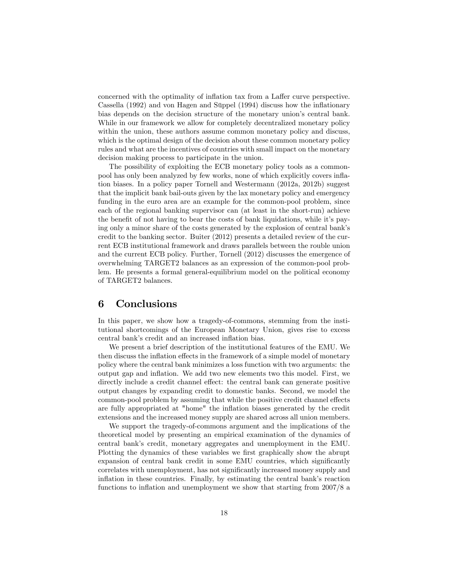concerned with the optimality of inflation tax from a Laffer curve perspective. Cassella (1992) and von Hagen and Süppel (1994) discuss how the inflationary bias depends on the decision structure of the monetary union's central bank. While in our framework we allow for completely decentralized monetary policy within the union, these authors assume common monetary policy and discuss, which is the optimal design of the decision about these common monetary policy rules and what are the incentives of countries with small impact on the monetary decision making process to participate in the union.

The possibility of exploiting the ECB monetary policy tools as a commonpool has only been analyzed by few works, none of which explicitly covers ináation biases. In a policy paper Tornell and Westermann (2012a, 2012b) suggest that the implicit bank bail-outs given by the lax monetary policy and emergency funding in the euro area are an example for the common-pool problem, since each of the regional banking supervisor can (at least in the short-run) achieve the benefit of not having to bear the costs of bank liquidations, while it's paying only a minor share of the costs generated by the explosion of central bankís credit to the banking sector. Buiter (2012) presents a detailed review of the current ECB institutional framework and draws parallels between the rouble union and the current ECB policy. Further, Tornell (2012) discusses the emergence of overwhelming TARGET2 balances as an expression of the common-pool problem. He presents a formal general-equilibrium model on the political economy of TARGET2 balances.

### 6 Conclusions

In this paper, we show how a tragedy-of-commons, stemming from the institutional shortcomings of the European Monetary Union, gives rise to excess central bank's credit and an increased inflation bias.

We present a brief description of the institutional features of the EMU. We then discuss the inflation effects in the framework of a simple model of monetary policy where the central bank minimizes a loss function with two arguments: the output gap and ináation. We add two new elements two this model. First, we directly include a credit channel effect: the central bank can generate positive output changes by expanding credit to domestic banks. Second, we model the common-pool problem by assuming that while the positive credit channel effects are fully appropriated at "home" the ináation biases generated by the credit extensions and the increased money supply are shared across all union members.

We support the tragedy-of-commons argument and the implications of the theoretical model by presenting an empirical examination of the dynamics of central bankís credit, monetary aggregates and unemployment in the EMU. Plotting the dynamics of these variables we first graphically show the abrupt expansion of central bank credit in some EMU countries, which significantly correlates with unemployment, has not significantly increased money supply and inflation in these countries. Finally, by estimating the central bank's reaction functions to inflation and unemployment we show that starting from  $2007/8$  a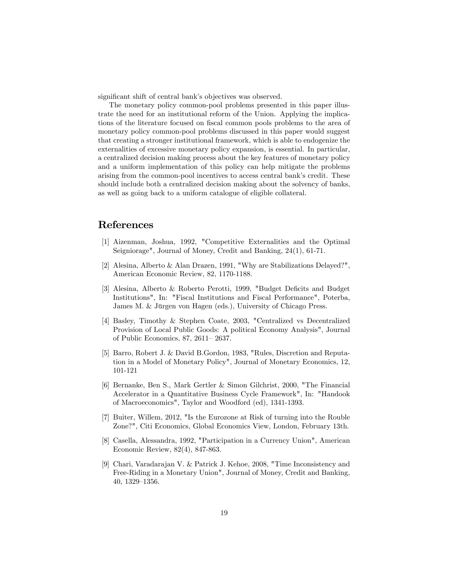significant shift of central bank's objectives was observed.

The monetary policy common-pool problems presented in this paper illustrate the need for an institutional reform of the Union. Applying the implications of the literature focused on fiscal common pools problems to the area of monetary policy common-pool problems discussed in this paper would suggest that creating a stronger institutional framework, which is able to endogenize the externalities of excessive monetary policy expansion, is essential. In particular, a centralized decision making process about the key features of monetary policy and a uniform implementation of this policy can help mitigate the problems arising from the common-pool incentives to access central bank's credit. These should include both a centralized decision making about the solvency of banks, as well as going back to a uniform catalogue of eligible collateral.

### References

- [1] Aizenman, Joshua, 1992, "Competitive Externalities and the Optimal Seigniorage", Journal of Money, Credit and Banking, 24(1), 61-71.
- [2] Alesina, Alberto & Alan Drazen, 1991, "Why are Stabilizations Delayed?", American Economic Review, 82, 1170-1188.
- [3] Alesina, Alberto & Roberto Perotti, 1999, "Budget Deficits and Budget Institutions", In: "Fiscal Institutions and Fiscal Performance", Poterba, James M. & Jürgen von Hagen (eds.), University of Chicago Press.
- [4] Basley, Timothy & Stephen Coate, 2003, "Centralized vs Decentralized Provision of Local Public Goods: A political Economy Analysis", Journal of Public Economics, 87, 2611-2637.
- [5] Barro, Robert J. & David B.Gordon, 1983, "Rules, Discretion and Reputation in a Model of Monetary Policy", Journal of Monetary Economics, 12, 101-121
- [6] Bernanke, Ben S., Mark Gertler & Simon Gilchrist, 2000, "The Financial Accelerator in a Quantitative Business Cycle Framework", In: "Handook of Macroeconomics", Taylor and Woodford (ed), 1341-1393.
- [7] Buiter, Willem, 2012, "Is the Eurozone at Risk of turning into the Rouble Zone?", Citi Economics, Global Economics View, London, February 13th.
- [8] Casella, Alessandra, 1992, "Participation in a Currency Union", American Economic Review, 82(4), 847-863.
- [9] Chari, Varadarajan V. & Patrick J. Kehoe, 2008, "Time Inconsistency and Free-Riding in a Monetary Union", Journal of Money, Credit and Banking,  $40, 1329-1356.$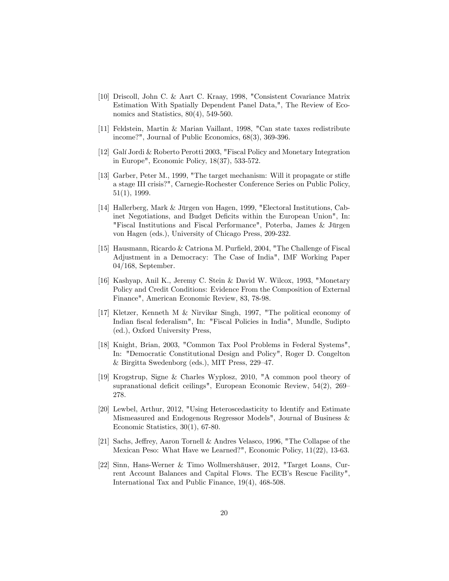- [10] Driscoll, John C. & Aart C. Kraay, 1998, "Consistent Covariance Matrix Estimation With Spatially Dependent Panel Data,", The Review of Economics and Statistics,  $80(4)$ , 549-560.
- [11] Feldstein, Martin & Marian Vaillant, 1998, "Can state taxes redistribute income?", Journal of Public Economics, 68(3), 369-396.
- [12] GalÌ Jordi & Roberto Perotti 2003, "Fiscal Policy and Monetary Integration in Europe", Economic Policy, 18(37), 533-572.
- [13] Garber, Peter M., 1999, "The target mechanism: Will it propagate or stiáe a stage III crisis?", Carnegie-Rochester Conference Series on Public Policy, 51(1), 1999.
- [14] Hallerberg, Mark & Jürgen von Hagen, 1999, "Electoral Institutions, Cabinet Negotiations, and Budget Deficits within the European Union", In: "Fiscal Institutions and Fiscal Performance", Poterba, James & Jürgen von Hagen (eds.), University of Chicago Press, 209-232.
- [15] Hausmann, Ricardo & Catriona M. Purfield, 2004, "The Challenge of Fiscal Adjustment in a Democracy: The Case of India", IMF Working Paper 04/168, September.
- [16] Kashyap, Anil K., Jeremy C. Stein & David W. Wilcox, 1993, "Monetary Policy and Credit Conditions: Evidence From the Composition of External Finance", American Economic Review, 83, 78-98.
- [17] Kletzer, Kenneth M & Nirvikar Singh, 1997, "The political economy of Indian Öscal federalism", In: "Fiscal Policies in India", Mundle, Sudipto (ed.), Oxford University Press,
- [18] Knight, Brian, 2003, "Common Tax Pool Problems in Federal Systems", In: "Democratic Constitutional Design and Policy", Roger D. Congelton  $&$  Birgitta Swedenborg (eds.), MIT Press, 229–47.
- [19] Krogstrup, Signe & Charles Wyplosz, 2010, "A common pool theory of supranational deficit ceilings", European Economic Review,  $54(2)$ ,  $269$ 278.
- [20] Lewbel, Arthur, 2012, "Using Heteroscedasticity to Identify and Estimate Mismeasured and Endogenous Regressor Models", Journal of Business & Economic Statistics, 30(1), 67-80.
- [21] Sachs, Jeffrey, Aaron Tornell & Andres Velasco, 1996, "The Collapse of the Mexican Peso: What Have we Learned?", Economic Policy, 11(22), 13-63.
- [22] Sinn, Hans-Werner & Timo Wollmershäuser, 2012, "Target Loans, Current Account Balances and Capital Flows. The ECB's Rescue Facility", International Tax and Public Finance, 19(4), 468-508.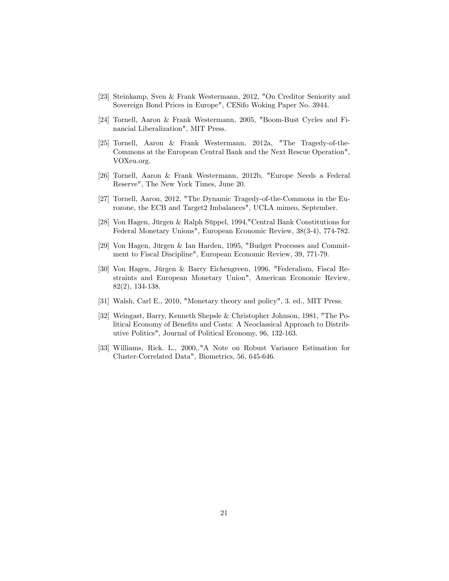- [23] Steinkamp, Sven & Frank Westermann, 2012, "On Creditor Seniority and Sovereign Bond Prices in Europe", CESifo Woking Paper No. 3944.
- [24] Tornell, Aaron & Frank Westermann, 2005, "Boom-Bust Cycles and Financial Liberalization", MIT Press.
- [25] Tornell, Aaron & Frank Westermann, 2012a, "The Tragedy-of-the-Commons at the European Central Bank and the Next Rescue Operation", VOXeu.org.
- [26] Tornell, Aaron & Frank Westermann, 2012b, "Europe Needs a Federal Reserve", The New York Times, June 20.
- [27] Tornell, Aaron, 2012, "The Dynamic Tragedy-of-the-Commons in the Eurozone, the ECB and Target2 Imbalances", UCLA mimeo, September.
- [28] Von Hagen, Jürgen & Ralph Süppel, 1994,"Central Bank Constitutions for Federal Monetary Unions", European Economic Review, 38(3-4), 774-782.
- [29] Von Hagen, Jürgen & Ian Harden, 1995, "Budget Processes and Commitment to Fiscal Discipline", European Economic Review, 39, 771-79.
- [30] Von Hagen, Jürgen & Barry Eichengreen, 1996, "Federalism, Fiscal Restraints and European Monetary Union", American Economic Review, 82(2), 134-138.
- [31] Walsh, Carl E., 2010, "Monetary theory and policy", 3. ed., MIT Press.
- [32] Weingast, Barry, Kenneth Shepsle & Christopher Johnson, 1981, "The Political Economy of Benefits and Costs: A Neoclassical Approach to Distributive Politics", Journal of Political Economy, 96, 132-163.
- [33] Williams, Rick. L., 2000,."A Note on Robust Variance Estimation for Cluster-Correlated Data", Biometrics, 56, 645-646.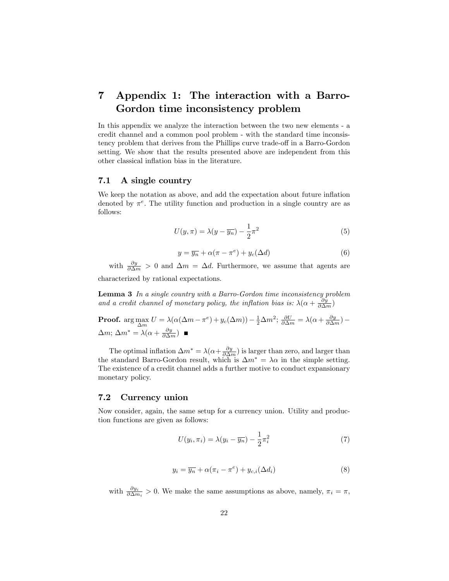# 7 Appendix 1: The interaction with a Barro-Gordon time inconsistency problem

In this appendix we analyze the interaction between the two new elements - a credit channel and a common pool problem - with the standard time inconsistency problem that derives from the Phillips curve trade-off in a Barro-Gordon setting. We show that the results presented above are independent from this other classical inflation bias in the literature.

#### 7.1 A single country

We keep the notation as above, and add the expectation about future inflation denoted by  $\pi^e$ . The utility function and production in a single country are as follows:

$$
U(y,\pi) = \lambda(y - \overline{y_n}) - \frac{1}{2}\pi^2
$$
\n(5)

$$
y = \overline{y_n} + \alpha(\pi - \pi^e) + y_c(\Delta d)
$$
 (6)

with  $\frac{\partial y}{\partial \Delta m} > 0$  and  $\Delta m = \Delta d$ . Furthermore, we assume that agents are characterized by rational expectations.

Lemma 3 In a single country with a Barro-Gordon time inconsistency problem and a credit channel of monetary policy, the inflation bias is:  $\lambda(\alpha + \frac{\partial y}{\partial \Delta m})$ 

**Proof.** arg max 
$$
U = \lambda(\alpha(\Delta m - \pi^e) + y_c(\Delta m)) - \frac{1}{2}\Delta m^2
$$
;  $\frac{\partial U}{\partial \Delta m} = \lambda(\alpha + \frac{\partial y}{\partial \Delta m}) - \Delta m$ ;  $\Delta m^* = \lambda(\alpha + \frac{\partial y}{\partial \Delta m})$ 

The optimal inflation  $\Delta m^* = \lambda(\alpha + \frac{\partial y}{\partial \Delta m})$  is larger than zero, and larger than the standard Barro-Gordon result, which is  $\Delta m^* = \lambda \alpha$  in the simple setting. The existence of a credit channel adds a further motive to conduct expansionary monetary policy.

#### 7.2 Currency union

Now consider, again, the same setup for a currency union. Utility and production functions are given as follows:

$$
U(y_i, \pi_i) = \lambda (y_i - \overline{y_n}) - \frac{1}{2} \pi_i^2
$$
\n<sup>(7)</sup>

$$
y_i = \overline{y_n} + \alpha(\pi_i - \pi^e) + y_{c,i}(\Delta d_i)
$$
\n(8)

with  $\frac{\partial y_i}{\partial \Delta m_i} > 0$ . We make the same assumptions as above, namely,  $\pi_i = \pi$ ,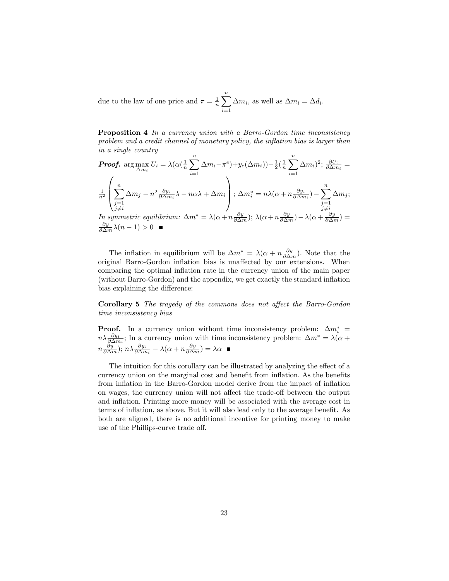due to the law of one price and  $\pi = \frac{1}{n} \sum_{n=1}^{\infty}$  $i=1$  $\Delta m_i$ , as well as  $\Delta m_i = \Delta d_i$ .

Proposition 4 In a currency union with a Barro-Gordon time inconsistency  $problem$  and a credit channel of monetary policy, the inflation bias is larger than in a single country

Proof. 
$$
\arg \max_{\Delta m_i} U_i = \lambda (\alpha (\frac{1}{n} \sum_{i=1}^n \Delta m_i - \pi^e) + y_c(\Delta m_i)) - \frac{1}{2} (\frac{1}{n} \sum_{i=1}^n \Delta m_i)^2; \frac{\partial U_i}{\partial \Delta m_i} =
$$
  

$$
\frac{1}{n^2} \left( \sum_{\substack{j=1 \ j \neq i}}^n \Delta m_j - n^2 \frac{\partial y_i}{\partial \Delta m_i} \lambda - n\alpha \lambda + \Delta m_i \right); \Delta m_i^* = n\lambda (\alpha + n \frac{\partial y_i}{\partial \Delta m_i}) - \sum_{\substack{j=1 \ j \neq i}}^n \Delta m_j;
$$
  
In symmetric equilibrium:  $\Delta m^* = \lambda (\alpha + n \frac{\partial y}{\partial \Delta m}); \lambda (\alpha + n \frac{\partial y}{\partial \Delta m}) - \lambda (\alpha + \frac{\partial y}{\partial \Delta m}) =$ 

$$
\frac{\partial y}{\partial \Delta m} \lambda(n-1) > 0 \quad \blacksquare
$$

The inflation in equilibrium will be  $\Delta m^* = \lambda (\alpha + n \frac{\partial y}{\partial \Delta m})$ . Note that the original Barro-Gordon inflation bias is unaffected by our extensions. When comparing the optimal inflation rate in the currency union of the main paper (without Barro-Gordon) and the appendix, we get exactly the standard inflation bias explaining the difference:

Corollary 5 The tragedy of the commons does not affect the Barro-Gordon time inconsistency bias

**Proof.** In a currency union without time inconsistency problem:  $\Delta m_i^*$  =  $n\lambda \frac{\partial y_i}{\partial \Delta m_i}$ ; In a currency union with time inconsistency problem:  $\Delta m^* = \lambda (\alpha + \beta)$  $n\frac{\partial y}{\partial \Delta m}$ );  $n\lambda \frac{\partial y_i}{\partial \Delta m_i} - \lambda(\alpha + n\frac{\partial y}{\partial \Delta m}) = \lambda \alpha$ 

The intuition for this corollary can be illustrated by analyzing the effect of a currency union on the marginal cost and benefit from inflation. As the benefits from inflation in the Barro-Gordon model derive from the impact of inflation on wages, the currency union will not affect the trade-off between the output and inflation. Printing more money will be associated with the average cost in terms of inflation, as above. But it will also lead only to the average benefit. As both are aligned, there is no additional incentive for printing money to make use of the Phillips-curve trade off.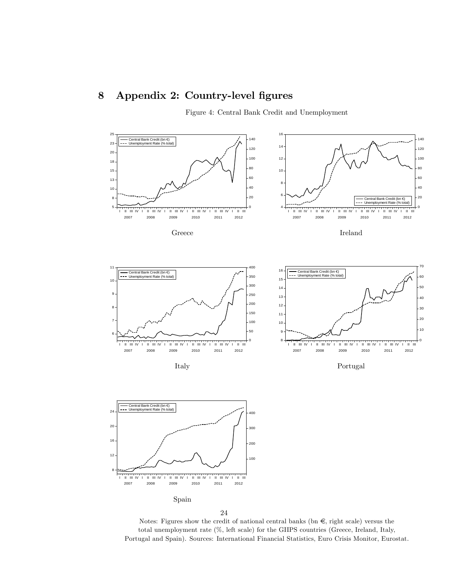# 8 Appendix 2: Country-level figures

Figure 4: Central Bank Credit and Unemployment



24

Notes: Figures show the credit of national central banks (bn  $\epsilon$ , right scale) versus the total unemployment rate (%, left scale) for the GIIPS countries (Greece, Ireland, Italy, Portugal and Spain). Sources: International Financial Statistics, Euro Crisis Monitor, Eurostat.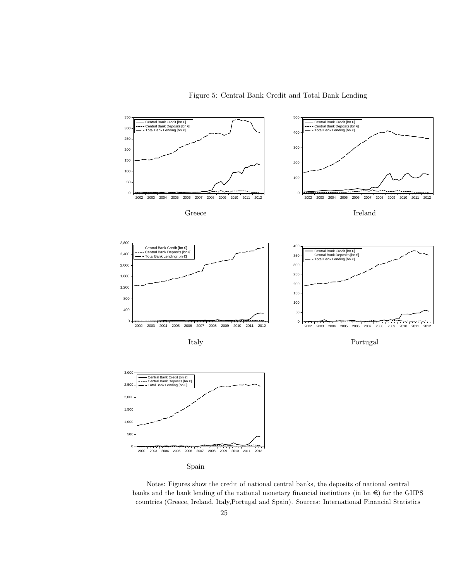#### Figure 5: Central Bank Credit and Total Bank Lending



Spain

Notes: Figures show the credit of national central banks, the deposits of national central banks and the bank lending of the national monetary financial instiutions (in bn  $\epsilon$ ) for the GIIPS countries (Greece, Ireland, Italy,Portugal and Spain). Sources: International Financial Statistics